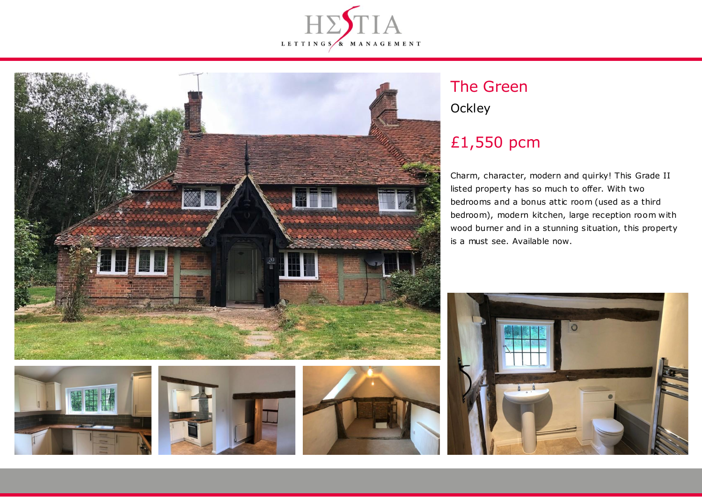



# The Green **Ockley**

# £1,550 pcm

Charm, character, modern and quirky! This Grade II listed property has so much to offer. With two bedrooms and a bonus attic room (used as a third bedroom), modern kitchen, large reception room with wood burner and in a stunning situation, this property is a must see. Available now.







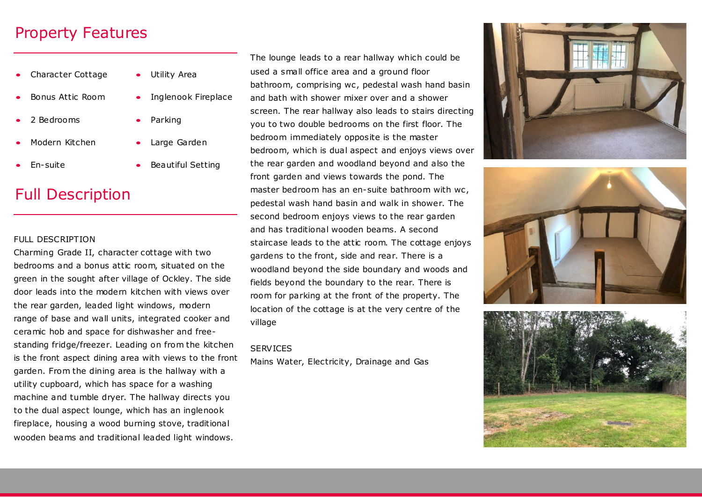## Property Features

 Character Cottage Bonus Attic Room 2 Bedrooms Modern Kitchen Utility Area Inglenook Fireplace Parking Large Garden

Beautiful Setting

- En-suite
- Full Description

#### FULL DESCRIPTION

Charming Grade II, character cottage with two bedrooms and a bonus attic room, situated on the green in the sought after village of Ockley. The side door leads into the modern kitchen with views over the rear garden, leaded light windows, modern range of base and wall units, integrated cooker and ceramic hob and space for dishwasher and freestanding fridge/freezer. Leading on from the kitchen is the front aspect dining area with views to the front garden. From the dining area is the hallway with a utility cupboard, which has space for a washing machine and tumble dryer. The hallway directs you to the dual aspect lounge, which has an inglenook fireplace, housing a wood burning stove, traditional wooden beams and traditional leaded light windows.

The lounge leads to a rear hallway which could be used a small office area and a ground floor bathroom, comprising wc, pedestal wash hand basin and bath with shower mixer over and a shower screen. The rear hallway also leads to stairs directing you to two double bedrooms on the first floor. The bedroom immediately opposite is the master bedroom, which is dual aspect and enjoys views over the rear garden and woodland beyond and also the front garden and views towards the pond. The master bedroom has an en-suite bathroom with wc. pedestal wash hand basin and walk in shower. The second bedroom enjoys views to the rear garden and has traditional wooden beams. A second staircase leads to the attic room. The cottage enjoys gardens to the front, side and rear. There is a woodland beyond the side boundary and woods and fields beyond the boundary to the rear. There is room for parking at the front of the property. The location of the cottage is at the very centre of the village

#### **SERVICES**

Mains Water, Electricity, Drainage and Gas





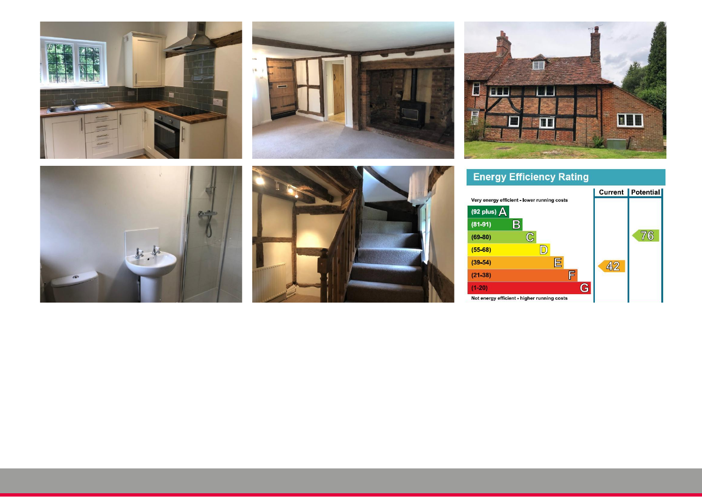









### **Energy Efficiency Rating**